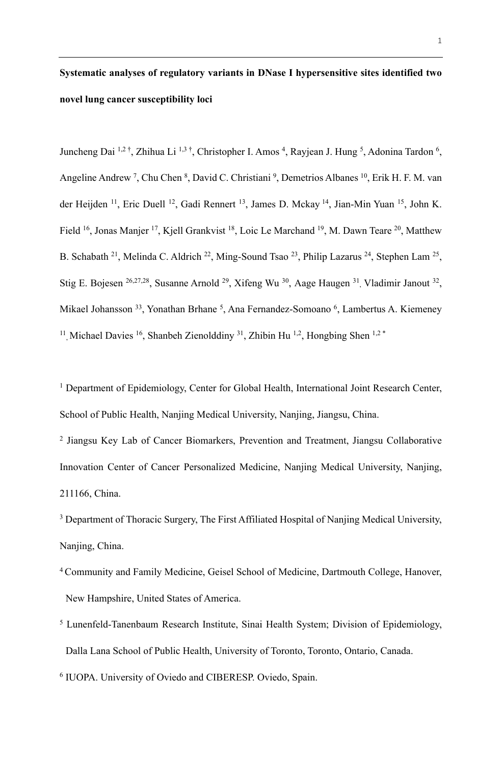# **Systematic analyses of regulatory variants in DNase I hypersensitive sites identified two novel lung cancer susceptibility loci**

Juncheng Dai <sup>1,2†</sup>, Zhihua Li <sup>1,3†</sup>, Christopher I. Amos <sup>4</sup>, Rayjean J. Hung <sup>5</sup>, Adonina Tardon <sup>6</sup>, Angeline Andrew<sup>7</sup>, Chu Chen <sup>8</sup>, David C. Christiani <sup>9</sup>, Demetrios Albanes <sup>10</sup>, Erik H. F. M. van der Heijden <sup>11</sup>, Eric Duell <sup>12</sup>, Gadi Rennert <sup>13</sup>, James D. Mckay <sup>14</sup>, Jian-Min Yuan <sup>15</sup>, John K. Field <sup>16</sup>, Jonas Manjer <sup>17</sup>, Kjell Grankvist <sup>18</sup>, Loic Le Marchand <sup>19</sup>, M. Dawn Teare <sup>20</sup>, Matthew B. Schabath <sup>21</sup>, Melinda C. Aldrich <sup>22</sup>, Ming-Sound Tsao <sup>23</sup>, Philip Lazarus <sup>24</sup>, Stephen Lam <sup>25</sup>, Stig E. Bojesen <sup>26,27,28</sup>, Susanne Arnold <sup>29</sup>, Xifeng Wu <sup>30</sup>, Aage Haugen <sup>31</sup>, Vladimir Janout <sup>32</sup>, Mikael Johansson <sup>33</sup>, Yonathan Brhane <sup>5</sup>, Ana Fernandez-Somoano <sup>6</sup>, Lambertus A. Kiemeney <sup>11</sup>, Michael Davies <sup>16</sup>, Shanbeh Zienolddiny <sup>31</sup>, Zhibin Hu <sup>1,2</sup>, Hongbing Shen <sup>1,2</sup><sup>\*</sup>

<sup>1</sup> Department of Epidemiology, Center for Global Health, International Joint Research Center, School of Public Health, Nanjing Medical University, Nanjing, Jiangsu, China.

<sup>2</sup> Jiangsu Key Lab of Cancer Biomarkers, Prevention and Treatment, Jiangsu Collaborative Innovation Center of Cancer Personalized Medicine, Nanjing Medical University, Nanjing, 211166, China.

<sup>3</sup> Department of Thoracic Surgery, The First Affiliated Hospital of Nanjing Medical University, Nanjing, China.

- <sup>4</sup> Community and Family Medicine, Geisel School of Medicine, Dartmouth College, Hanover, New Hampshire, United States of America.
- <sup>5</sup> Lunenfeld-Tanenbaum Research Institute, Sinai Health System; Division of Epidemiology, Dalla Lana School of Public Health, University of Toronto, Toronto, Ontario, Canada.
- <sup>6</sup> IUOPA. University of Oviedo and CIBERESP. Oviedo, Spain.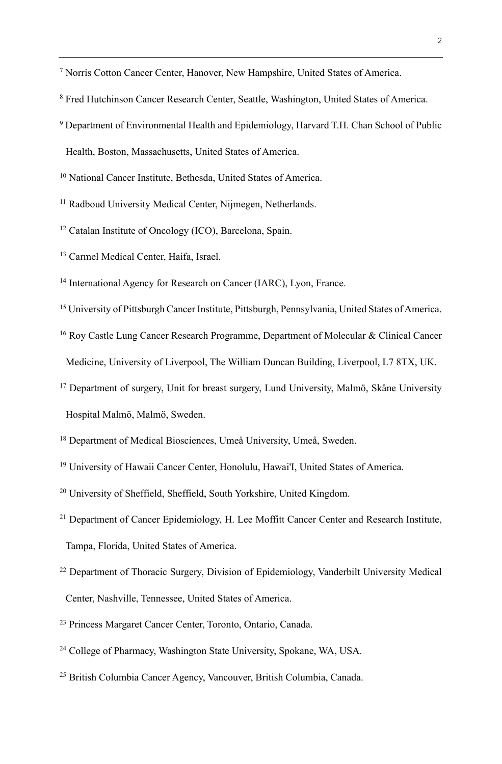<sup>7</sup> Norris Cotton Cancer Center, Hanover, New Hampshire, United States of America.

- <sup>8</sup> Fred Hutchinson Cancer Research Center, Seattle, Washington, United States of America.
- <sup>9</sup> Department of Environmental Health and Epidemiology, Harvard T.H. Chan School of Public

Health, Boston, Massachusetts, United States of America.

<sup>10</sup> National Cancer Institute, Bethesda, United States of America.

<sup>11</sup> Radboud University Medical Center, Nijmegen, Netherlands.

<sup>12</sup> Catalan Institute of Oncology (ICO), Barcelona, Spain.

<sup>13</sup> Carmel Medical Center, Haifa, Israel.

<sup>14</sup> International Agency for Research on Cancer (IARC), Lyon, France.

<sup>15</sup> University of Pittsburgh Cancer Institute, Pittsburgh, Pennsylvania, United States of America.

<sup>16</sup> Roy Castle Lung Cancer Research Programme, Department of Molecular & Clinical Cancer Medicine, University of Liverpool, The William Duncan Building, Liverpool, L7 8TX, UK.

<sup>17</sup> Department of surgery, Unit for breast surgery, Lund University, Malmö, Skåne University

Hospital Malmö, Malmö, Sweden.

<sup>18</sup> Department of Medical Biosciences, Umeå University, Umeå, Sweden.

<sup>19</sup> University of Hawaii Cancer Center, Honolulu, Hawai'I, United States of America.

<sup>20</sup> University of Sheffield, Sheffield, South Yorkshire, United Kingdom.

<sup>21</sup> Department of Cancer Epidemiology, H. Lee Moffitt Cancer Center and Research Institute, Tampa, Florida, United States of America.

- <sup>22</sup> Department of Thoracic Surgery, Division of Epidemiology, Vanderbilt University Medical Center, Nashville, Tennessee, United States of America.
- <sup>23</sup> Princess Margaret Cancer Center, Toronto, Ontario, Canada.
- <sup>24</sup> College of Pharmacy, Washington State University, Spokane, WA, USA.
- <sup>25</sup> British Columbia Cancer Agency, Vancouver, British Columbia, Canada.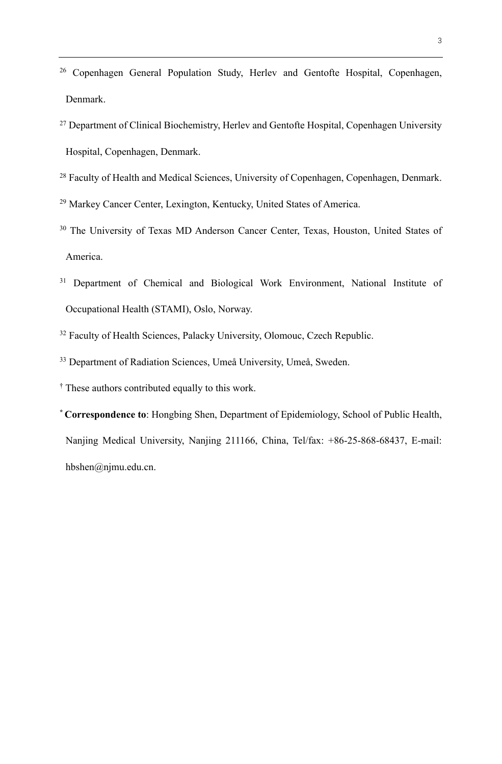- <sup>26</sup> Copenhagen General Population Study, Herlev and Gentofte Hospital, Copenhagen, Denmark.
- <sup>27</sup> Department of Clinical Biochemistry, Herlev and Gentofte Hospital, Copenhagen University Hospital, Copenhagen, Denmark.
- <sup>28</sup> Faculty of Health and Medical Sciences, University of Copenhagen, Copenhagen, Denmark.
- <sup>29</sup> Markey Cancer Center, Lexington, Kentucky, United States of America.
- <sup>30</sup> The University of Texas MD Anderson Cancer Center, Texas, Houston, United States of America.
- <sup>31</sup> Department of Chemical and Biological Work Environment, National Institute of Occupational Health (STAMI), Oslo, Norway.
- <sup>32</sup> Faculty of Health Sciences, Palacky University, Olomouc, Czech Republic.
- <sup>33</sup> Department of Radiation Sciences, Umeå University, Umeå, Sweden.

† These authors contributed equally to this work.

**\* Correspondence to**: Hongbing Shen, Department of Epidemiology, School of Public Health, Nanjing Medical University, Nanjing 211166, China, Tel/fax: +86-25-868-68437, E-mail: hbshen@njmu.edu.cn.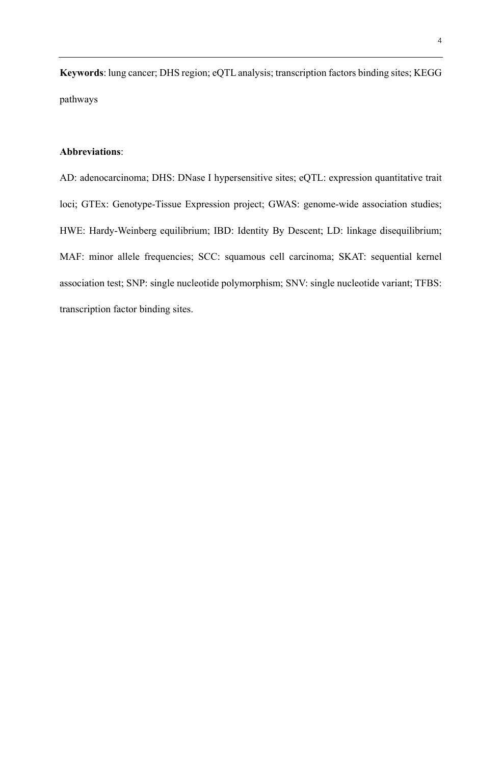**Keywords**: lung cancer; DHS region; eQTL analysis; transcription factors binding sites; KEGG pathways

# **Abbreviations**:

AD: adenocarcinoma; DHS: DNase I hypersensitive sites; eQTL: expression quantitative trait loci; GTEx: Genotype-Tissue Expression project; GWAS: genome-wide association studies; HWE: Hardy-Weinberg equilibrium; IBD: Identity By Descent; LD: linkage disequilibrium; MAF: minor allele frequencies; SCC: squamous cell carcinoma; SKAT: sequential kernel association test; SNP: single nucleotide polymorphism; SNV: single nucleotide variant; TFBS: transcription factor binding sites.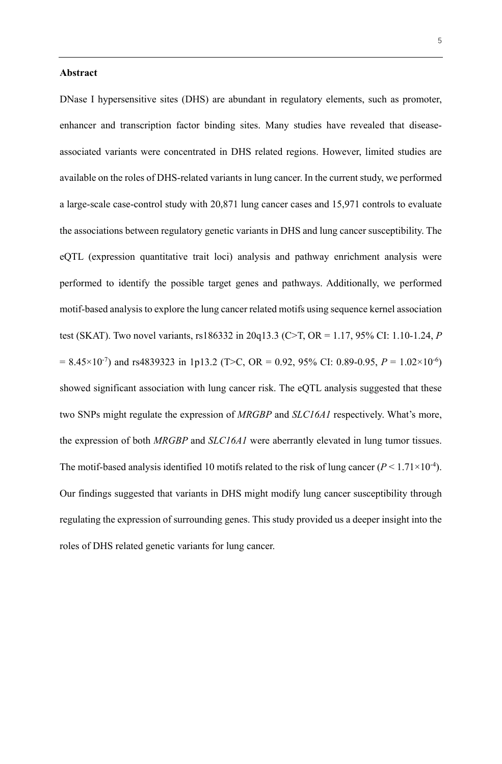## **Abstract**

DNase I hypersensitive sites (DHS) are abundant in regulatory elements, such as promoter, enhancer and transcription factor binding sites. Many studies have revealed that diseaseassociated variants were concentrated in DHS related regions. However, limited studies are available on the roles of DHS-related variants in lung cancer. In the current study, we performed a large-scale case-control study with 20,871 lung cancer cases and 15,971 controls to evaluate the associations between regulatory genetic variants in DHS and lung cancer susceptibility. The eQTL (expression quantitative trait loci) analysis and pathway enrichment analysis were performed to identify the possible target genes and pathways. Additionally, we performed motif-based analysis to explore the lung cancer related motifs using sequence kernel association test (SKAT). Two novel variants, rs186332 in 20q13.3 (C>T, OR = 1.17, 95% CI: 1.10-1.24, *P*  $= 8.45 \times 10^{-7}$ ) and rs4839323 in 1p13.2 (T>C, OR = 0.92, 95% CI: 0.89-0.95,  $P = 1.02 \times 10^{-6}$ ) showed significant association with lung cancer risk. The eQTL analysis suggested that these two SNPs might regulate the expression of *MRGBP* and *SLC16A1* respectively. What's more, the expression of both *MRGBP* and *SLC16A1* were aberrantly elevated in lung tumor tissues. The motif-based analysis identified 10 motifs related to the risk of lung cancer  $(P < 1.71 \times 10^{-4})$ . Our findings suggested that variants in DHS might modify lung cancer susceptibility through regulating the expression of surrounding genes. This study provided us a deeper insight into the roles of DHS related genetic variants for lung cancer.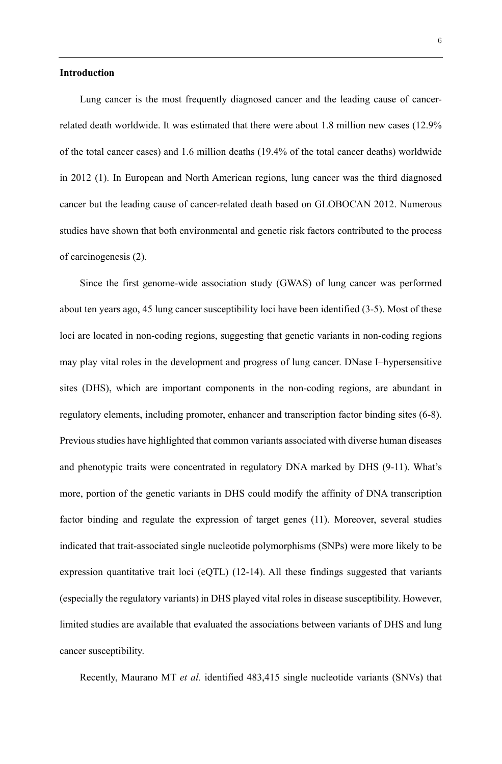# **Introduction**

Lung cancer is the most frequently diagnosed cancer and the leading cause of cancerrelated death worldwide. It was estimated that there were about 1.8 million new cases (12.9% of the total cancer cases) and 1.6 million deaths (19.4% of the total cancer deaths) worldwide in 2012 (1). In European and North American regions, lung cancer was the third diagnosed cancer but the leading cause of cancer-related death based on GLOBOCAN 2012. Numerous studies have shown that both environmental and genetic risk factors contributed to the process of carcinogenesis (2).

Since the first genome-wide association study (GWAS) of lung cancer was performed about ten years ago, 45 lung cancer susceptibility loci have been identified (3-5). Most of these loci are located in non-coding regions, suggesting that genetic variants in non-coding regions may play vital roles in the development and progress of lung cancer. DNase I–hypersensitive sites (DHS), which are important components in the non-coding regions, are abundant in regulatory elements, including promoter, enhancer and transcription factor binding sites (6-8). Previous studies have highlighted that common variants associated with diverse human diseases and phenotypic traits were concentrated in regulatory DNA marked by DHS (9-11). What's more, portion of the genetic variants in DHS could modify the affinity of DNA transcription factor binding and regulate the expression of target genes (11). Moreover, several studies indicated that trait-associated single nucleotide polymorphisms (SNPs) were more likely to be expression quantitative trait loci (eQTL) (12-14). All these findings suggested that variants (especially the regulatory variants) in DHS played vital roles in disease susceptibility. However, limited studies are available that evaluated the associations between variants of DHS and lung cancer susceptibility.

Recently, Maurano MT *et al.* identified 483,415 single nucleotide variants (SNVs) that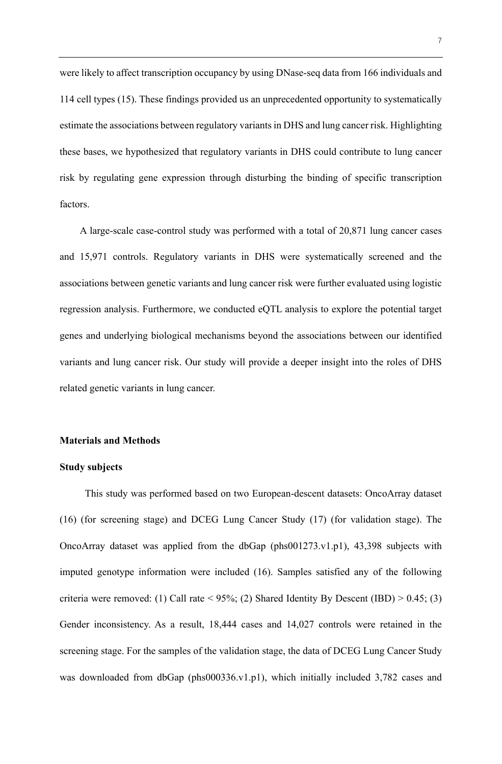were likely to affect transcription occupancy by using DNase-seq data from 166 individuals and 114 cell types (15). These findings provided us an unprecedented opportunity to systematically estimate the associations between regulatory variants in DHS and lung cancer risk. Highlighting these bases, we hypothesized that regulatory variants in DHS could contribute to lung cancer risk by regulating gene expression through disturbing the binding of specific transcription factors.

A large-scale case-control study was performed with a total of 20,871 lung cancer cases and 15,971 controls. Regulatory variants in DHS were systematically screened and the associations between genetic variants and lung cancer risk were further evaluated using logistic regression analysis. Furthermore, we conducted eQTL analysis to explore the potential target genes and underlying biological mechanisms beyond the associations between our identified variants and lung cancer risk. Our study will provide a deeper insight into the roles of DHS related genetic variants in lung cancer.

# **Materials and Methods**

#### **Study subjects**

This study was performed based on two European-descent datasets: OncoArray dataset (16) (for screening stage) and DCEG Lung Cancer Study (17) (for validation stage). The OncoArray dataset was applied from the dbGap (phs001273.v1.p1), 43,398 subjects with imputed genotype information were included (16). Samples satisfied any of the following criteria were removed: (1) Call rate <  $95\%$ ; (2) Shared Identity By Descent (IBD) > 0.45; (3) Gender inconsistency. As a result, 18,444 cases and 14,027 controls were retained in the screening stage. For the samples of the validation stage, the data of DCEG Lung Cancer Study was downloaded from dbGap (phs000336.v1.p1), which initially included 3,782 cases and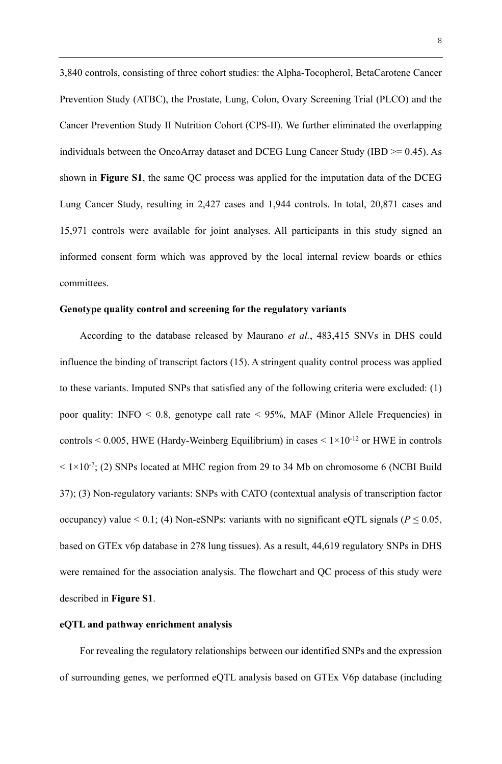3,840 controls, consisting of three cohort studies: the Alpha-Tocopherol, BetaCarotene Cancer Prevention Study (ATBC), the Prostate, Lung, Colon, Ovary Screening Trial (PLCO) and the Cancer Prevention Study II Nutrition Cohort (CPS-II). We further eliminated the overlapping individuals between the OncoArray dataset and DCEG Lung Cancer Study (IBD >= 0.45). As shown in **Figure S1**, the same QC process was applied for the imputation data of the DCEG Lung Cancer Study, resulting in 2,427 cases and 1,944 controls. In total, 20,871 cases and 15,971 controls were available for joint analyses. All participants in this study signed an informed consent form which was approved by the local internal review boards or ethics committees.

# **Genotype quality control and screening for the regulatory variants**

According to the database released by Maurano *et al.*, 483,415 SNVs in DHS could influence the binding of transcript factors (15). A stringent quality control process was applied to these variants. Imputed SNPs that satisfied any of the following criteria were excluded: (1) poor quality: INFO  $\leq$  0.8, genotype call rate  $\leq$  95%, MAF (Minor Allele Frequencies) in controls  $\leq 0.005$ , HWE (Hardy-Weinberg Equilibrium) in cases  $\leq 1 \times 10^{-12}$  or HWE in controls  $< 1 \times 10^{-7}$ ; (2) SNPs located at MHC region from 29 to 34 Mb on chromosome 6 (NCBI Build 37); (3) Non-regulatory variants: SNPs with CATO (contextual analysis of transcription factor occupancy) value < 0.1; (4) Non-eSNPs: variants with no significant eQTL signals ( $P \le 0.05$ , based on GTEx v6p database in 278 lung tissues). As a result, 44,619 regulatory SNPs in DHS were remained for the association analysis. The flowchart and QC process of this study were described in **Figure S1**.

#### **eQTL and pathway enrichment analysis**

For revealing the regulatory relationships between our identified SNPs and the expression of surrounding genes, we performed eQTL analysis based on GTEx V6p database (including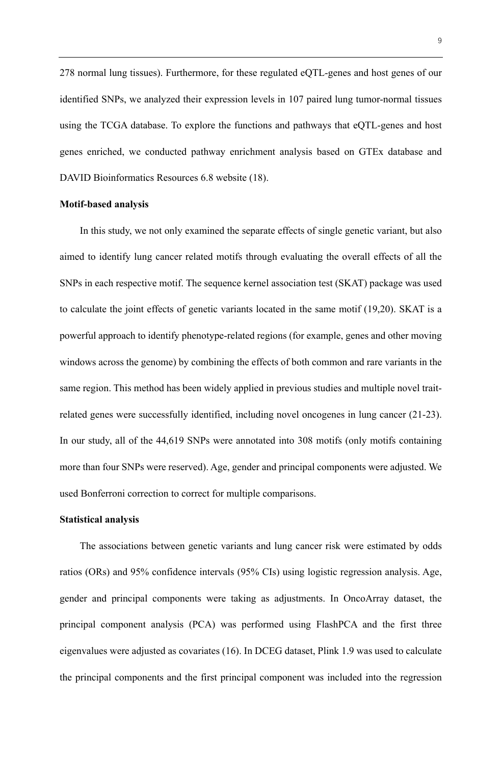278 normal lung tissues). Furthermore, for these regulated eQTL-genes and host genes of our identified SNPs, we analyzed their expression levels in 107 paired lung tumor-normal tissues using the TCGA database. To explore the functions and pathways that eQTL-genes and host genes enriched, we conducted pathway enrichment analysis based on GTEx database and DAVID Bioinformatics Resources 6.8 website (18).

# **Motif-based analysis**

In this study, we not only examined the separate effects of single genetic variant, but also aimed to identify lung cancer related motifs through evaluating the overall effects of all the SNPs in each respective motif. The sequence kernel association test (SKAT) package was used to calculate the joint effects of genetic variants located in the same motif (19,20). SKAT is a powerful approach to identify phenotype-related regions (for example, genes and other moving windows across the genome) by combining the effects of both common and rare variants in the same region. This method has been widely applied in previous studies and multiple novel traitrelated genes were successfully identified, including novel oncogenes in lung cancer (21-23). In our study, all of the 44,619 SNPs were annotated into 308 motifs (only motifs containing more than four SNPs were reserved). Age, gender and principal components were adjusted. We used Bonferroni correction to correct for multiple comparisons.

## **Statistical analysis**

The associations between genetic variants and lung cancer risk were estimated by odds ratios (ORs) and 95% confidence intervals (95% CIs) using logistic regression analysis. Age, gender and principal components were taking as adjustments. In OncoArray dataset, the principal component analysis (PCA) was performed using FlashPCA and the first three eigenvalues were adjusted as covariates (16). In DCEG dataset, Plink 1.9 was used to calculate the principal components and the first principal component was included into the regression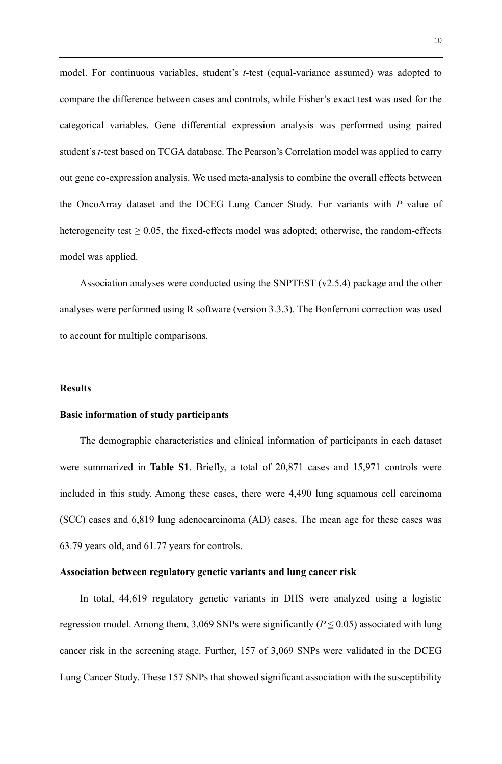model. For continuous variables, student's *t*-test (equal-variance assumed) was adopted to compare the difference between cases and controls, while Fisher's exact test was used for the categorical variables. Gene differential expression analysis was performed using paired student's *t*-test based on TCGA database. The Pearson's Correlation model was applied to carry out gene co-expression analysis. We used meta-analysis to combine the overall effects between the OncoArray dataset and the DCEG Lung Cancer Study. For variants with *P* value of heterogeneity test  $\geq 0.05$ , the fixed-effects model was adopted; otherwise, the random-effects model was applied.

Association analyses were conducted using the SNPTEST (v2.5.4) package and the other analyses were performed using R software (version 3.3.3). The Bonferroni correction was used to account for multiple comparisons.

#### **Results**

#### **Basic information of study participants**

The demographic characteristics and clinical information of participants in each dataset were summarized in **Table S1**. Briefly, a total of 20,871 cases and 15,971 controls were included in this study. Among these cases, there were 4,490 lung squamous cell carcinoma (SCC) cases and 6,819 lung adenocarcinoma (AD) cases. The mean age for these cases was 63.79 years old, and 61.77 years for controls.

#### **Association between regulatory genetic variants and lung cancer risk**

In total, 44,619 regulatory genetic variants in DHS were analyzed using a logistic regression model. Among them, 3,069 SNPs were significantly ( $P \le 0.05$ ) associated with lung cancer risk in the screening stage. Further, 157 of 3,069 SNPs were validated in the DCEG Lung Cancer Study. These 157 SNPs that showed significant association with the susceptibility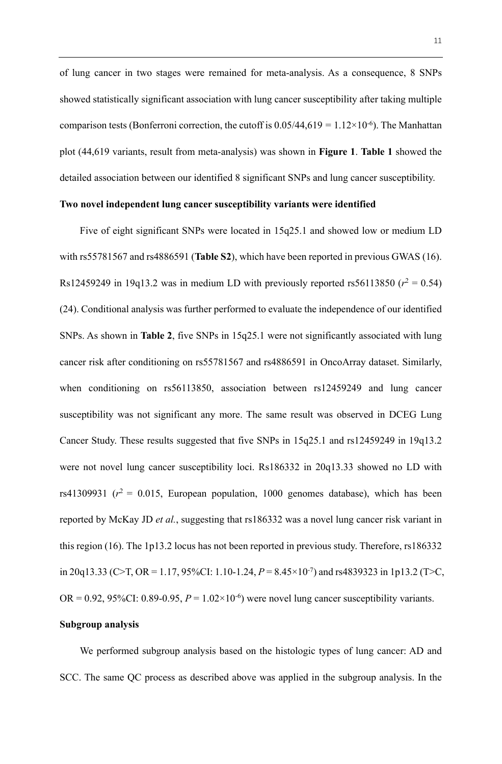of lung cancer in two stages were remained for meta-analysis. As a consequence, 8 SNPs showed statistically significant association with lung cancer susceptibility after taking multiple comparison tests (Bonferroni correction, the cutoff is  $0.05/44,619 = 1.12 \times 10^{-6}$ ). The Manhattan plot (44,619 variants, result from meta-analysis) was shown in **Figure 1**. **Table 1** showed the detailed association between our identified 8 significant SNPs and lung cancer susceptibility.

# **Two novel independent lung cancer susceptibility variants were identified**

Five of eight significant SNPs were located in 15q25.1 and showed low or medium LD with rs55781567 and rs4886591 (**Table S2**), which have been reported in previous GWAS (16). Rs12459249 in 19q13.2 was in medium LD with previously reported rs56113850 ( $r^2$  = 0.54) (24). Conditional analysis was further performed to evaluate the independence of our identified SNPs. As shown in **Table 2**, five SNPs in 15q25.1 were not significantly associated with lung cancer risk after conditioning on rs55781567 and rs4886591 in OncoArray dataset. Similarly, when conditioning on rs56113850, association between rs12459249 and lung cancer susceptibility was not significant any more. The same result was observed in DCEG Lung Cancer Study. These results suggested that five SNPs in 15q25.1 and rs12459249 in 19q13.2 were not novel lung cancer susceptibility loci. Rs186332 in 20q13.33 showed no LD with rs41309931 ( $r^2$  = 0.015, European population, 1000 genomes database), which has been reported by McKay JD *et al.*, suggesting that rs186332 was a novel lung cancer risk variant in this region (16). The 1p13.2 locus has not been reported in previous study. Therefore, rs186332 in 20q13.33 (C>T, OR = 1.17, 95%CI: 1.10-1.24,  $P = 8.45 \times 10^{-7}$ ) and rs4839323 in 1p13.2 (T>C, OR =  $0.92$ ,  $95\%$ CI:  $0.89$ - $0.95$ ,  $P = 1.02 \times 10^{-6}$ ) were novel lung cancer susceptibility variants.

# **Subgroup analysis**

We performed subgroup analysis based on the histologic types of lung cancer: AD and SCC. The same QC process as described above was applied in the subgroup analysis. In the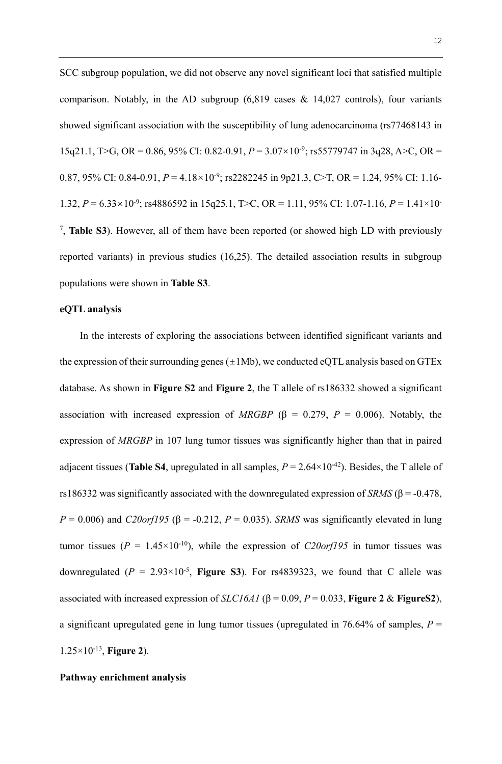SCC subgroup population, we did not observe any novel significant loci that satisfied multiple comparison. Notably, in the AD subgroup  $(6,819)$  cases & 14,027 controls), four variants showed significant association with the susceptibility of lung adenocarcinoma (rs77468143 in 15q21.1, T>G, OR = 0.86, 95% CI: 0.82-0.91,  $P = 3.07 \times 10^{-9}$ ; rs55779747 in 3q28, A>C, OR = 0.87, 95% CI: 0.84-0.91,  $P = 4.18 \times 10^{-9}$ ; rs2282245 in 9p21.3, C>T, OR = 1.24, 95% CI: 1.16-1.32, *P* = 6.33 10-9 ; rs4886592 in 15q25.1, T>C, OR = 1.11, 95% CI: 1.07-1.16, *P* = 1.41×10- 7 , **Table S3**). However, all of them have been reported (or showed high LD with previously reported variants) in previous studies (16,25). The detailed association results in subgroup populations were shown in **Table S3**.

## **eQTL analysis**

In the interests of exploring the associations between identified significant variants and the expression of their surrounding genes  $(\pm 1\text{Mb})$ , we conducted eQTL analysis based on GTEx database. As shown in **Figure S2** and **Figure 2**, the T allele of rs186332 showed a significant association with increased expression of *MRGBP* ( $\beta$  = 0.279, *P* = 0.006). Notably, the expression of *MRGBP* in 107 lung tumor tissues was significantly higher than that in paired adjacent tissues (**Table S4**, upregulated in all samples,  $P = 2.64 \times 10^{-42}$ ). Besides, the T allele of rs186332 was significantly associated with the downregulated expression of *SRMS* (β = -0.478,  $P = 0.006$ ) and *C20orf195* ( $\beta = -0.212$ ,  $P = 0.035$ ). *SRMS* was significantly elevated in lung tumor tissues ( $P = 1.45 \times 10^{-10}$ ), while the expression of *C20orf195* in tumor tissues was downregulated  $(P = 2.93 \times 10^{-5}$ , **Figure S3**). For rs4839323, we found that C allele was associated with increased expression of *SLC16A1* ( $\beta$  = 0.09, *P* = 0.033, **Figure 2** & **Figure S2**), a significant upregulated gene in lung tumor tissues (upregulated in 76.64% of samples, *P* = 1.25×10-13, **Figure 2**).

# **Pathway enrichment analysis**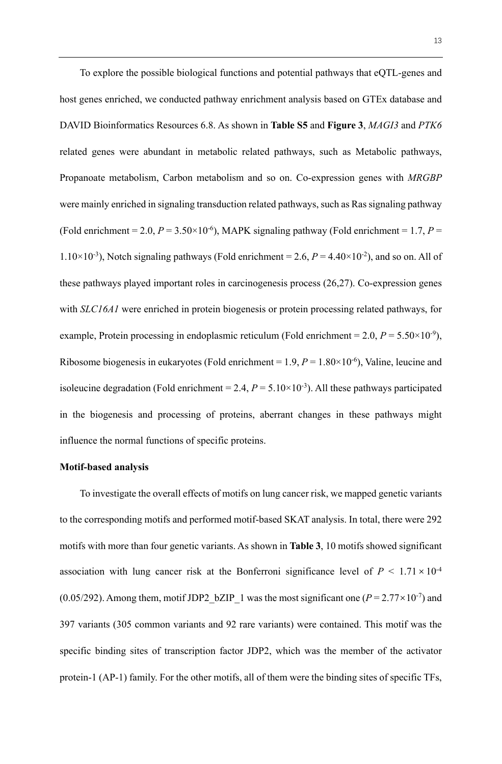To explore the possible biological functions and potential pathways that eQTL-genes and host genes enriched, we conducted pathway enrichment analysis based on GTEx database and DAVID Bioinformatics Resources 6.8. As shown in **Table S5** and **Figure 3**, *MAGI3* and *PTK6* related genes were abundant in metabolic related pathways, such as Metabolic pathways, Propanoate metabolism, Carbon metabolism and so on. Co-expression genes with *MRGBP*  were mainly enriched in signaling transduction related pathways, such as Ras signaling pathway (Fold enrichment = 2.0,  $P = 3.50 \times 10^{-6}$ ), MAPK signaling pathway (Fold enrichment = 1.7,  $P =$ 1.10×10<sup>-3</sup>), Notch signaling pathways (Fold enrichment = 2.6,  $P = 4.40 \times 10^{-2}$ ), and so on. All of these pathways played important roles in carcinogenesis process (26,27). Co-expression genes with *SLC16A1* were enriched in protein biogenesis or protein processing related pathways, for example, Protein processing in endoplasmic reticulum (Fold enrichment =  $2.0$ ,  $P = 5.50 \times 10^{-9}$ ), Ribosome biogenesis in eukaryotes (Fold enrichment =  $1.9$ ,  $P = 1.80 \times 10^{-6}$ ), Valine, leucine and isoleucine degradation (Fold enrichment = 2.4,  $P = 5.10 \times 10^{-3}$ ). All these pathways participated in the biogenesis and processing of proteins, aberrant changes in these pathways might influence the normal functions of specific proteins.

#### **Motif-based analysis**

To investigate the overall effects of motifs on lung cancer risk, we mapped genetic variants to the corresponding motifs and performed motif-based SKAT analysis. In total, there were 292 motifs with more than four genetic variants. As shown in **Table 3**, 10 motifs showed significant association with lung cancer risk at the Bonferroni significance level of  $P < 1.71 \times 10^{-4}$ (0.05/292). Among them, motif JDP2\_bZIP\_1 was the most significant one  $(P = 2.77 \times 10^{-7})$  and 397 variants (305 common variants and 92 rare variants) were contained. This motif was the specific binding sites of transcription factor JDP2, which was the member of the activator protein-1 (AP-1) family. For the other motifs, all of them were the binding sites of specific TFs,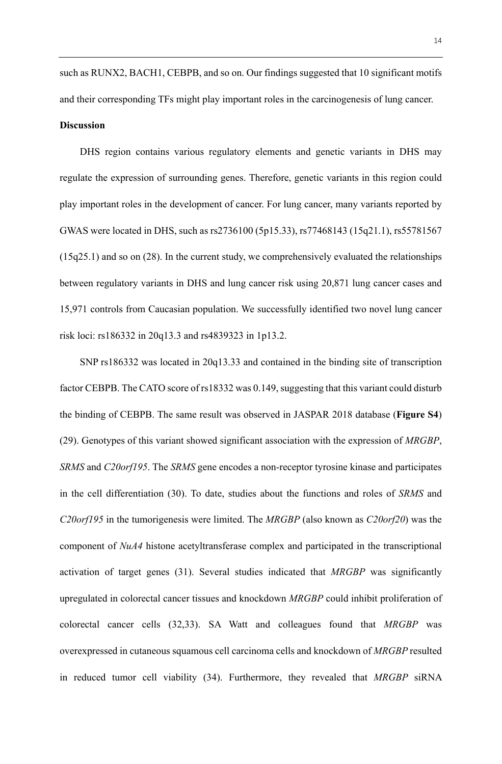such as RUNX2, BACH1, CEBPB, and so on. Our findings suggested that 10 significant motifs and their corresponding TFs might play important roles in the carcinogenesis of lung cancer. **Discussion**

DHS region contains various regulatory elements and genetic variants in DHS may regulate the expression of surrounding genes. Therefore, genetic variants in this region could play important roles in the development of cancer. For lung cancer, many variants reported by GWAS were located in DHS, such as rs2736100 (5p15.33), rs77468143 (15q21.1), rs55781567 (15q25.1) and so on (28). In the current study, we comprehensively evaluated the relationships between regulatory variants in DHS and lung cancer risk using 20,871 lung cancer cases and 15,971 controls from Caucasian population. We successfully identified two novel lung cancer risk loci: rs186332 in 20q13.3 and rs4839323 in 1p13.2.

SNP rs186332 was located in 20q13.33 and contained in the binding site of transcription factor CEBPB. The CATO score of rs18332 was 0.149, suggesting that this variant could disturb the binding of CEBPB. The same result was observed in JASPAR 2018 database (**Figure S4**) (29). Genotypes of this variant showed significant association with the expression of *MRGBP*, *SRMS* and *C20orf195*. The *SRMS* gene encodes a non-receptor tyrosine kinase and participates in the cell differentiation (30). To date, studies about the functions and roles of *SRMS* and *C20orf195* in the tumorigenesis were limited. The *MRGBP* (also known as *C20orf20*) was the component of *NuA4* histone acetyltransferase complex and participated in the transcriptional activation of target genes (31). Several studies indicated that *MRGBP* was significantly upregulated in colorectal cancer tissues and knockdown *MRGBP* could inhibit proliferation of colorectal cancer cells (32,33). SA Watt and colleagues found that *MRGBP* was overexpressed in cutaneous squamous cell carcinoma cells and knockdown of *MRGBP* resulted in reduced tumor cell viability (34). Furthermore, they revealed that *MRGBP* siRNA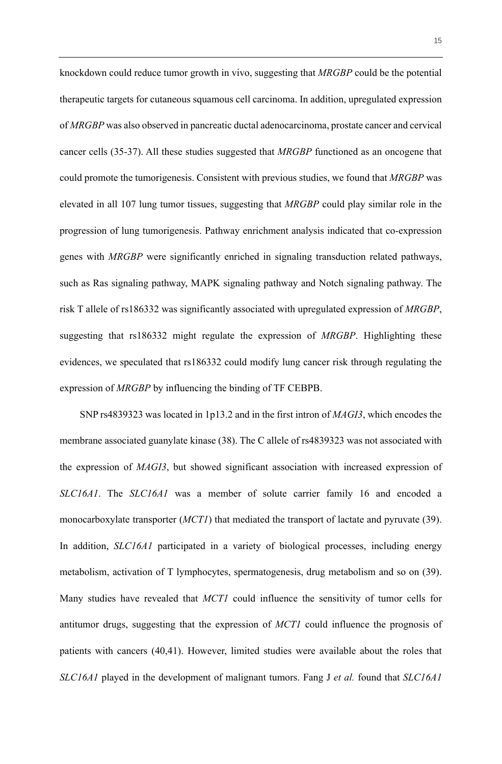knockdown could reduce tumor growth in vivo, suggesting that *MRGBP* could be the potential therapeutic targets for cutaneous squamous cell carcinoma. In addition, upregulated expression of *MRGBP* was also observed in pancreatic ductal adenocarcinoma, prostate cancer and cervical cancer cells (35-37). All these studies suggested that *MRGBP* functioned as an oncogene that could promote the tumorigenesis. Consistent with previous studies, we found that *MRGBP* was elevated in all 107 lung tumor tissues, suggesting that *MRGBP* could play similar role in the progression of lung tumorigenesis. Pathway enrichment analysis indicated that co-expression genes with *MRGBP* were significantly enriched in signaling transduction related pathways, such as Ras signaling pathway, MAPK signaling pathway and Notch signaling pathway. The risk T allele of rs186332 was significantly associated with upregulated expression of *MRGBP*, suggesting that rs186332 might regulate the expression of *MRGBP*. Highlighting these evidences, we speculated that rs186332 could modify lung cancer risk through regulating the expression of *MRGBP* by influencing the binding of TF CEBPB.

SNP rs4839323 was located in 1p13.2 and in the first intron of *MAGI3*, which encodes the membrane associated guanylate kinase (38). The C allele of rs4839323 was not associated with the expression of *MAGI3*, but showed significant association with increased expression of *SLC16A1*. The *SLC16A1* was a member of solute carrier family 16 and encoded a monocarboxylate transporter (*MCT1*) that mediated the transport of lactate and pyruvate (39). In addition, *SLC16A1* participated in a variety of biological processes, including energy metabolism, activation of T lymphocytes, spermatogenesis, drug metabolism and so on (39). Many studies have revealed that *MCT1* could influence the sensitivity of tumor cells for antitumor drugs, suggesting that the expression of *MCT1* could influence the prognosis of patients with cancers (40,41). However, limited studies were available about the roles that *SLC16A1* played in the development of malignant tumors. Fang J *et al.* found that *SLC16A1*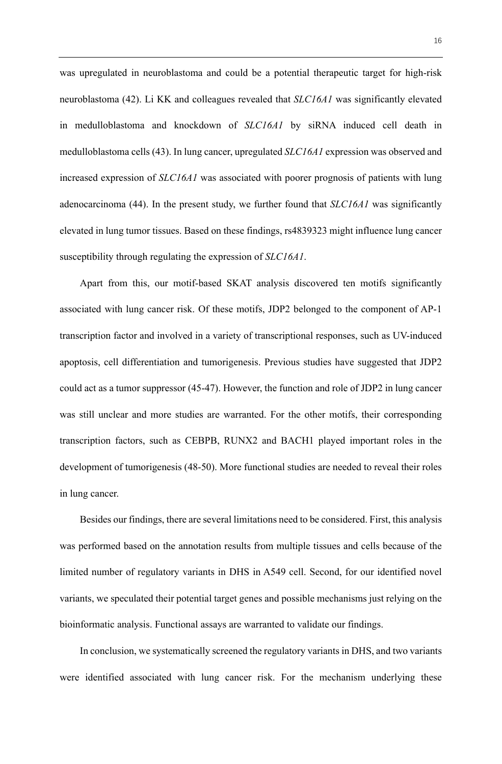was upregulated in neuroblastoma and could be a potential therapeutic target for high-risk neuroblastoma (42). Li KK and colleagues revealed that *SLC16A1* was significantly elevated in medulloblastoma and knockdown of *SLC16A1* by siRNA induced cell death in medulloblastoma cells (43). In lung cancer, upregulated *SLC16A1* expression was observed and increased expression of *SLC16A1* was associated with poorer prognosis of patients with lung adenocarcinoma (44). In the present study, we further found that *SLC16A1* was significantly elevated in lung tumor tissues. Based on these findings, rs4839323 might influence lung cancer susceptibility through regulating the expression of *SLC16A1*.

Apart from this, our motif-based SKAT analysis discovered ten motifs significantly associated with lung cancer risk. Of these motifs, JDP2 belonged to the component of AP-1 transcription factor and involved in a variety of transcriptional responses, such as UV-induced apoptosis, cell differentiation and tumorigenesis. Previous studies have suggested that JDP2 could act as a tumor suppressor (45-47). However, the function and role of JDP2 in lung cancer was still unclear and more studies are warranted. For the other motifs, their corresponding transcription factors, such as CEBPB, RUNX2 and BACH1 played important roles in the development of tumorigenesis (48-50). More functional studies are needed to reveal their roles in lung cancer.

Besides our findings, there are several limitations need to be considered. First, this analysis was performed based on the annotation results from multiple tissues and cells because of the limited number of regulatory variants in DHS in A549 cell. Second, for our identified novel variants, we speculated their potential target genes and possible mechanisms just relying on the bioinformatic analysis. Functional assays are warranted to validate our findings.

In conclusion, we systematically screened the regulatory variants in DHS, and two variants were identified associated with lung cancer risk. For the mechanism underlying these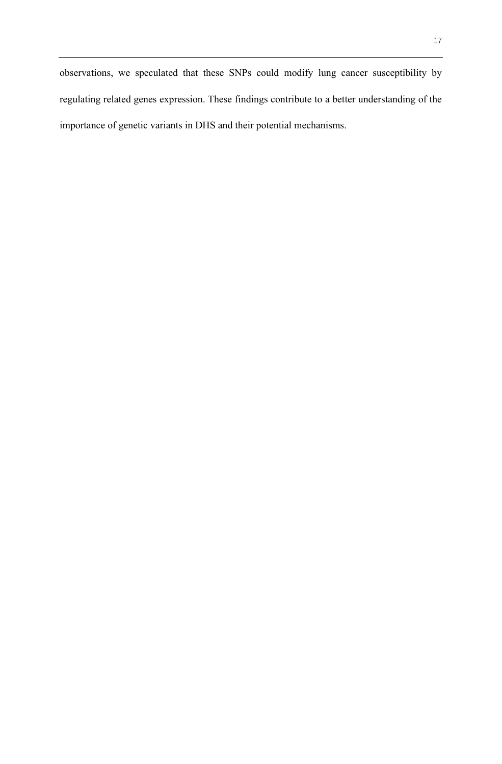observations, we speculated that these SNPs could modify lung cancer susceptibility by regulating related genes expression. These findings contribute to a better understanding of the importance of genetic variants in DHS and their potential mechanisms.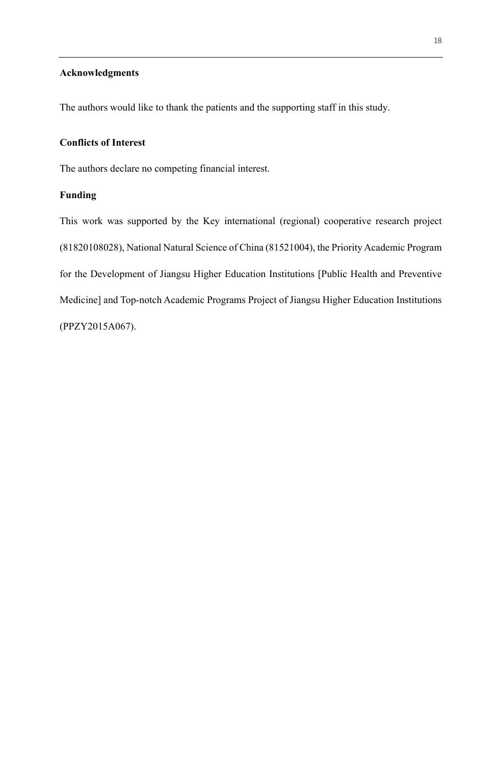# **Acknowledgments**

The authors would like to thank the patients and the supporting staff in this study.

# **Conflicts of Interest**

The authors declare no competing financial interest.

# **Funding**

This work was supported by the Key international (regional) cooperative research project (81820108028), National Natural Science of China (81521004), the Priority Academic Program for the Development of Jiangsu Higher Education Institutions [Public Health and Preventive Medicine] and Top-notch Academic Programs Project of Jiangsu Higher Education Institutions (PPZY2015A067).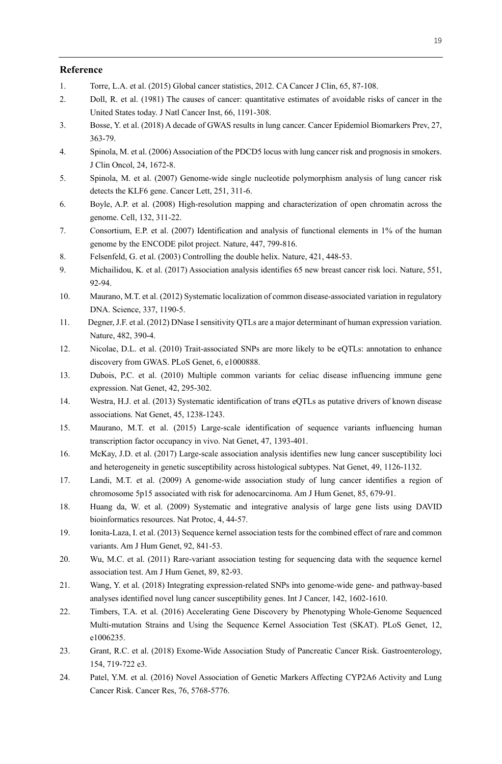## **Reference**

- 1. Torre, L.A. et al. (2015) Global cancer statistics, 2012. CA Cancer J Clin, 65, 87-108.
- 2. Doll, R. et al. (1981) The causes of cancer: quantitative estimates of avoidable risks of cancer in the United States today. J Natl Cancer Inst, 66, 1191-308.
- 3. Bosse, Y. et al. (2018) A decade of GWAS results in lung cancer. Cancer Epidemiol Biomarkers Prev, 27, 363-79.
- 4. Spinola, M. et al. (2006) Association of the PDCD5 locus with lung cancer risk and prognosis in smokers. J Clin Oncol, 24, 1672-8.
- 5. Spinola, M. et al. (2007) Genome-wide single nucleotide polymorphism analysis of lung cancer risk detects the KLF6 gene. Cancer Lett, 251, 311-6.
- 6. Boyle, A.P. et al. (2008) High-resolution mapping and characterization of open chromatin across the genome. Cell, 132, 311-22.
- 7. Consortium, E.P. et al. (2007) Identification and analysis of functional elements in 1% of the human genome by the ENCODE pilot project. Nature, 447, 799-816.
- 8. Felsenfeld, G. et al. (2003) Controlling the double helix. Nature, 421, 448-53.
- 9. Michailidou, K. et al. (2017) Association analysis identifies 65 new breast cancer risk loci. Nature, 551, 92-94.
- 10. Maurano, M.T. et al. (2012) Systematic localization of common disease-associated variation in regulatory DNA. Science, 337, 1190-5.
- 11. Degner, J.F. et al. (2012) DNase I sensitivity QTLs are a major determinant of human expression variation. Nature, 482, 390-4.
- 12. Nicolae, D.L. et al. (2010) Trait-associated SNPs are more likely to be eQTLs: annotation to enhance discovery from GWAS. PLoS Genet, 6, e1000888.
- 13. Dubois, P.C. et al. (2010) Multiple common variants for celiac disease influencing immune gene expression. Nat Genet, 42, 295-302.
- 14. Westra, H.J. et al. (2013) Systematic identification of trans eQTLs as putative drivers of known disease associations. Nat Genet, 45, 1238-1243.
- 15. Maurano, M.T. et al. (2015) Large-scale identification of sequence variants influencing human transcription factor occupancy in vivo. Nat Genet, 47, 1393-401.
- 16. McKay, J.D. et al. (2017) Large-scale association analysis identifies new lung cancer susceptibility loci and heterogeneity in genetic susceptibility across histological subtypes. Nat Genet, 49, 1126-1132.
- 17. Landi, M.T. et al. (2009) A genome-wide association study of lung cancer identifies a region of chromosome 5p15 associated with risk for adenocarcinoma. Am J Hum Genet, 85, 679-91.
- 18. Huang da, W. et al. (2009) Systematic and integrative analysis of large gene lists using DAVID bioinformatics resources. Nat Protoc, 4, 44-57.
- 19. Ionita-Laza, I. et al. (2013) Sequence kernel association tests for the combined effect of rare and common variants. Am J Hum Genet, 92, 841-53.
- 20. Wu, M.C. et al. (2011) Rare-variant association testing for sequencing data with the sequence kernel association test. Am J Hum Genet, 89, 82-93.
- 21. Wang, Y. et al. (2018) Integrating expression-related SNPs into genome-wide gene- and pathway-based analyses identified novel lung cancer susceptibility genes. Int J Cancer, 142, 1602-1610.
- 22. Timbers, T.A. et al. (2016) Accelerating Gene Discovery by Phenotyping Whole-Genome Sequenced Multi-mutation Strains and Using the Sequence Kernel Association Test (SKAT). PLoS Genet, 12, e1006235.
- 23. Grant, R.C. et al. (2018) Exome-Wide Association Study of Pancreatic Cancer Risk. Gastroenterology, 154, 719-722 e3.
- 24. Patel, Y.M. et al. (2016) Novel Association of Genetic Markers Affecting CYP2A6 Activity and Lung Cancer Risk. Cancer Res, 76, 5768-5776.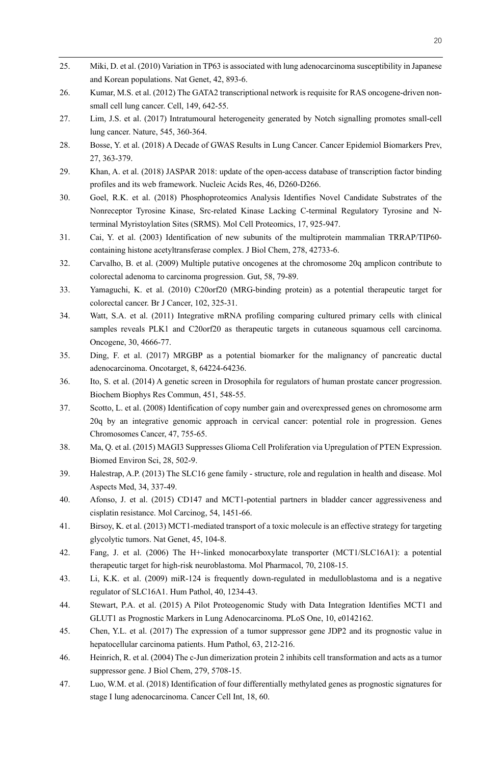- 25. Miki, D. et al. (2010) Variation in TP63 is associated with lung adenocarcinoma susceptibility in Japanese and Korean populations. Nat Genet, 42, 893-6.
- 26. Kumar, M.S. et al. (2012) The GATA2 transcriptional network is requisite for RAS oncogene-driven nonsmall cell lung cancer. Cell, 149, 642-55.
- 27. Lim, J.S. et al. (2017) Intratumoural heterogeneity generated by Notch signalling promotes small-cell lung cancer. Nature, 545, 360-364.
- 28. Bosse, Y. et al. (2018) A Decade of GWAS Results in Lung Cancer. Cancer Epidemiol Biomarkers Prev, 27, 363-379.
- 29. Khan, A. et al. (2018) JASPAR 2018: update of the open-access database of transcription factor binding profiles and its web framework. Nucleic Acids Res, 46, D260-D266.
- 30. Goel, R.K. et al. (2018) Phosphoproteomics Analysis Identifies Novel Candidate Substrates of the Nonreceptor Tyrosine Kinase, Src-related Kinase Lacking C-terminal Regulatory Tyrosine and Nterminal Myristoylation Sites (SRMS). Mol Cell Proteomics, 17, 925-947.
- 31. Cai, Y. et al. (2003) Identification of new subunits of the multiprotein mammalian TRRAP/TIP60 containing histone acetyltransferase complex. J Biol Chem, 278, 42733-6.
- 32. Carvalho, B. et al. (2009) Multiple putative oncogenes at the chromosome 20q amplicon contribute to colorectal adenoma to carcinoma progression. Gut, 58, 79-89.
- 33. Yamaguchi, K. et al. (2010) C20orf20 (MRG-binding protein) as a potential therapeutic target for colorectal cancer. Br J Cancer, 102, 325-31.
- 34. Watt, S.A. et al. (2011) Integrative mRNA profiling comparing cultured primary cells with clinical samples reveals PLK1 and C20orf20 as therapeutic targets in cutaneous squamous cell carcinoma. Oncogene, 30, 4666-77.
- 35. Ding, F. et al. (2017) MRGBP as a potential biomarker for the malignancy of pancreatic ductal adenocarcinoma. Oncotarget, 8, 64224-64236.
- 36. Ito, S. et al. (2014) A genetic screen in Drosophila for regulators of human prostate cancer progression. Biochem Biophys Res Commun, 451, 548-55.
- 37. Scotto, L. et al. (2008) Identification of copy number gain and overexpressed genes on chromosome arm 20q by an integrative genomic approach in cervical cancer: potential role in progression. Genes Chromosomes Cancer, 47, 755-65.
- 38. Ma, Q. et al. (2015) MAGI3 Suppresses Glioma Cell Proliferation via Upregulation of PTEN Expression. Biomed Environ Sci, 28, 502-9.
- 39. Halestrap, A.P. (2013) The SLC16 gene family structure, role and regulation in health and disease. Mol Aspects Med, 34, 337-49.
- 40. Afonso, J. et al. (2015) CD147 and MCT1-potential partners in bladder cancer aggressiveness and cisplatin resistance. Mol Carcinog, 54, 1451-66.
- 41. Birsoy, K. et al. (2013) MCT1-mediated transport of a toxic molecule is an effective strategy for targeting glycolytic tumors. Nat Genet, 45, 104-8.
- 42. Fang, J. et al. (2006) The H+-linked monocarboxylate transporter (MCT1/SLC16A1): a potential therapeutic target for high-risk neuroblastoma. Mol Pharmacol, 70, 2108-15.
- 43. Li, K.K. et al. (2009) miR-124 is frequently down-regulated in medulloblastoma and is a negative regulator of SLC16A1. Hum Pathol, 40, 1234-43.
- 44. Stewart, P.A. et al. (2015) A Pilot Proteogenomic Study with Data Integration Identifies MCT1 and GLUT1 as Prognostic Markers in Lung Adenocarcinoma. PLoS One, 10, e0142162.
- 45. Chen, Y.L. et al. (2017) The expression of a tumor suppressor gene JDP2 and its prognostic value in hepatocellular carcinoma patients. Hum Pathol, 63, 212-216.
- 46. Heinrich, R. et al. (2004) The c-Jun dimerization protein 2 inhibits cell transformation and acts as a tumor suppressor gene. J Biol Chem, 279, 5708-15.
- 47. Luo, W.M. et al. (2018) Identification of four differentially methylated genes as prognostic signatures for stage I lung adenocarcinoma. Cancer Cell Int, 18, 60.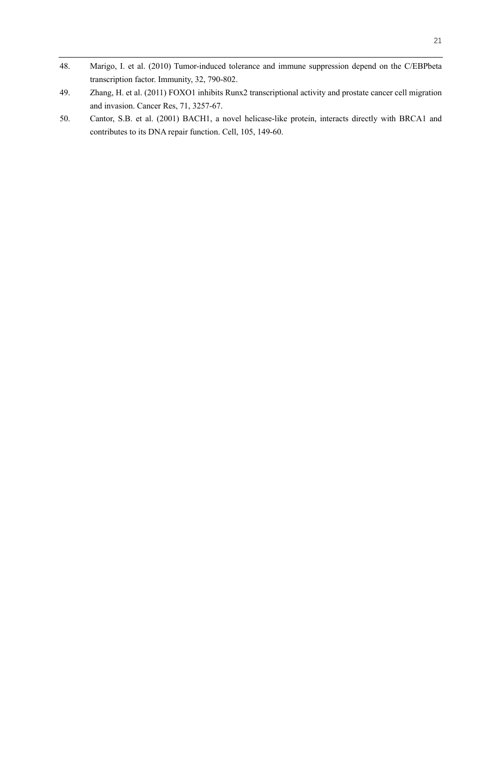- 48. Marigo, I. et al. (2010) Tumor-induced tolerance and immune suppression depend on the C/EBPbeta transcription factor. Immunity, 32, 790-802.
- 49. Zhang, H. et al. (2011) FOXO1 inhibits Runx2 transcriptional activity and prostate cancer cell migration and invasion. Cancer Res, 71, 3257-67.
- 50. Cantor, S.B. et al. (2001) BACH1, a novel helicase-like protein, interacts directly with BRCA1 and contributes to its DNA repair function. Cell, 105, 149-60.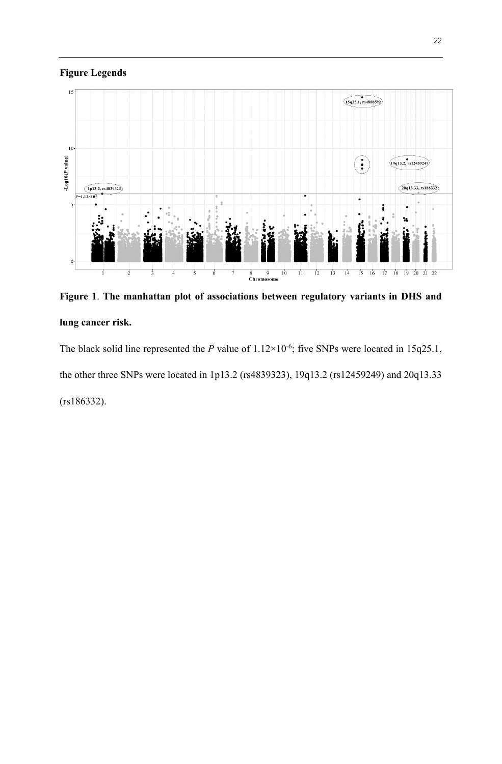# **Figure Legends**



**Figure 1**. **The manhattan plot of associations between regulatory variants in DHS and lung cancer risk.**

The black solid line represented the *P* value of  $1.12 \times 10^{-6}$ ; five SNPs were located in 15q25.1, the other three SNPs were located in 1p13.2 (rs4839323), 19q13.2 (rs12459249) and 20q13.33 (rs186332).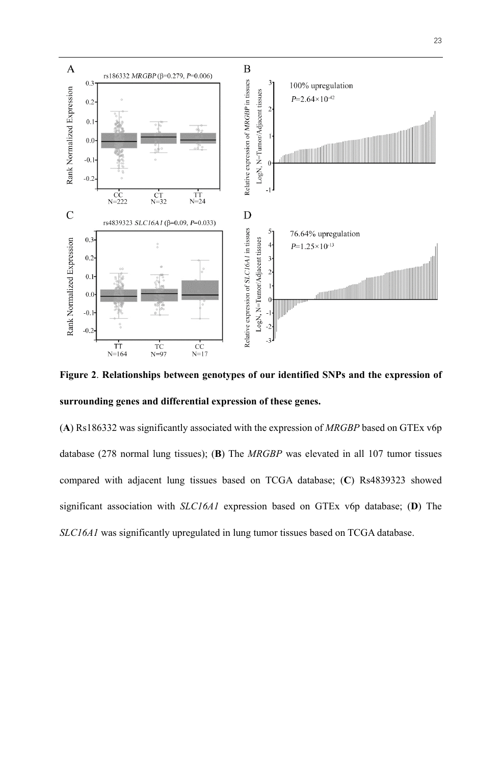

**Figure 2**. **Relationships between genotypes of our identified SNPs and the expression of surrounding genes and differential expression of these genes.**

(**A**) Rs186332 was significantly associated with the expression of *MRGBP* based on GTEx v6p database (278 normal lung tissues); (**B**) The *MRGBP* was elevated in all 107 tumor tissues compared with adjacent lung tissues based on TCGA database; (**C**) Rs4839323 showed significant association with *SLC16A1* expression based on GTEx v6p database; (**D**) The *SLC16A1* was significantly upregulated in lung tumor tissues based on TCGA database.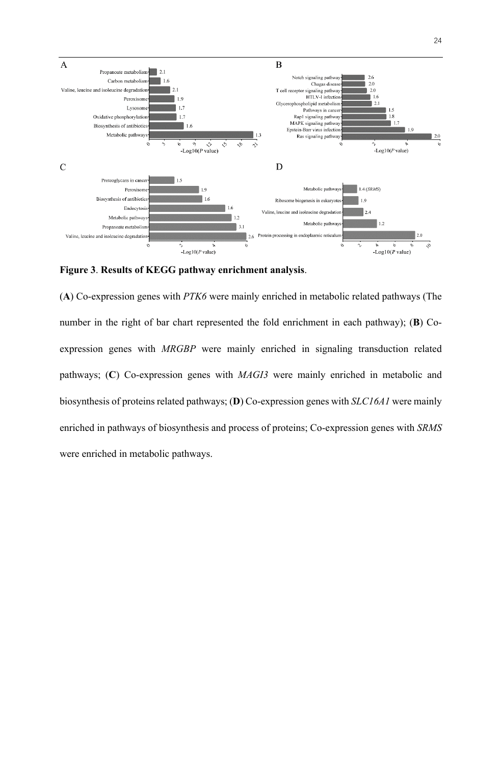

**Figure 3**. **Results of KEGG pathway enrichment analysis**.

(**A**) Co-expression genes with *PTK6* were mainly enriched in metabolic related pathways (The number in the right of bar chart represented the fold enrichment in each pathway); (**B**) Coexpression genes with *MRGBP* were mainly enriched in signaling transduction related pathways; (**C**) Co-expression genes with *MAGI3* were mainly enriched in metabolic and biosynthesis of proteins related pathways; (**D**) Co-expression genes with *SLC16A1* were mainly enriched in pathways of biosynthesis and process of proteins; Co-expression genes with *SRMS* were enriched in metabolic pathways.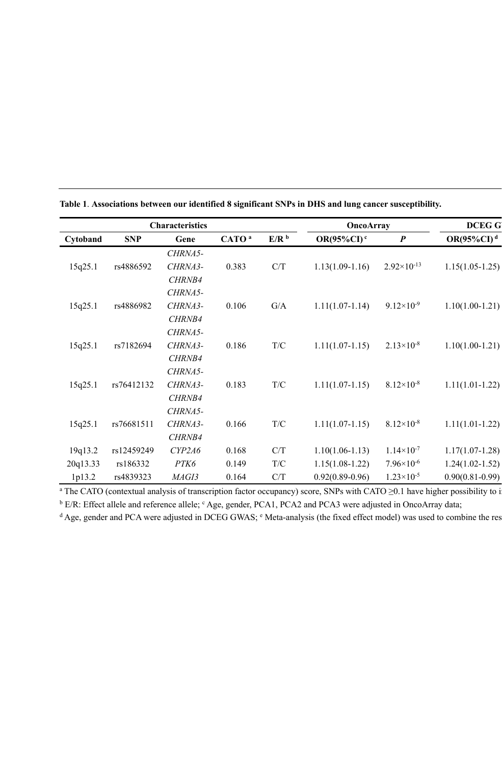|          |            | <b>Characteristics</b> |                   |                         | <b>OncoArray</b>     |                        | <b>DCEGG</b>        |
|----------|------------|------------------------|-------------------|-------------------------|----------------------|------------------------|---------------------|
| Cytoband | <b>SNP</b> | Gene                   | CATO <sup>a</sup> | E/R <sup>b</sup>        | OR(95%CI) $\rm ^{c}$ | $\boldsymbol{P}$       | $OR(95\%CI)^{d}$    |
|          |            | CHRNA5-                |                   |                         |                      |                        |                     |
| 15q25.1  | rs4886592  | CHRNA3-                | 0.383             | C/T                     | $1.13(1.09-1.16)$    | $2.92 \times 10^{-13}$ | $1.15(1.05-1.25)$   |
|          |            | CHRNB4                 |                   |                         |                      |                        |                     |
|          |            | CHRNA5-                |                   |                         |                      |                        |                     |
| 15q25.1  | rs4886982  | CHRNA3-                | 0.106             | $\mathrm{G}/\mathrm{A}$ | $1.11(1.07-1.14)$    | $9.12\times10^{-9}$    | $1.10(1.00-1.21)$   |
|          |            | CHRNB4                 |                   |                         |                      |                        |                     |
|          |            | CHRNA5-                |                   |                         |                      |                        |                     |
| 15q25.1  | rs7182694  | CHRNA3-                | 0.186             | T/C                     | $1.11(1.07-1.15)$    | $2.13\times10^{-8}$    | $1.10(1.00-1.21)$   |
|          |            | CHRNB4                 |                   |                         |                      |                        |                     |
|          |            | CHRNA5-                |                   |                         |                      |                        |                     |
| 15q25.1  | rs76412132 | CHRNA3-                | 0.183             | T/C                     | $1.11(1.07-1.15)$    | $8.12\times10^{-8}$    | $1.11(1.01-1.22)$   |
|          |            | CHRNB4                 |                   |                         |                      |                        |                     |
|          |            | CHRNA5-                |                   |                         |                      |                        |                     |
| 15q25.1  | rs76681511 | CHRNA3-                | 0.166             | T/C                     | $1.11(1.07-1.15)$    | $8.12\times10^{-8}$    | $1.11(1.01-1.22)$   |
|          |            | CHRNB4                 |                   |                         |                      |                        |                     |
| 19q13.2  | rs12459249 | CYP2A6                 | 0.168             | C/T                     | $1.10(1.06-1.13)$    | $1.14 \times 10^{-7}$  | $1.17(1.07-1.28)$   |
| 20q13.33 | rs186332   | PTK6                   | 0.149             | T/C                     | $1.15(1.08-1.22)$    | $7.96 \times 10^{-6}$  | $1.24(1.02 - 1.52)$ |
| 1p13.2   | rs4839323  | MAGI3                  | 0.164             | C/T                     | $0.92(0.89 - 0.96)$  | $1.23 \times 10^{-5}$  | $0.90(0.81 - 0.99)$ |

**Table 1**. **Associations between our identified 8 significant SNPs in DHS and lung cancer susceptibility.**

<sup>a</sup> The CATO (contextual analysis of transcription factor occupancy) score, SNPs with CATO ≥0.1 have higher possibility to i

<sup>b</sup> E/R: Effect allele and reference allele; <sup>c</sup> Age, gender, PCA1, PCA2 and PCA3 were adjusted in OncoArray data;

 $d$  Age, gender and PCA were adjusted in DCEG GWAS;  $e$  Meta-analysis (the fixed effect model) was used to combine the res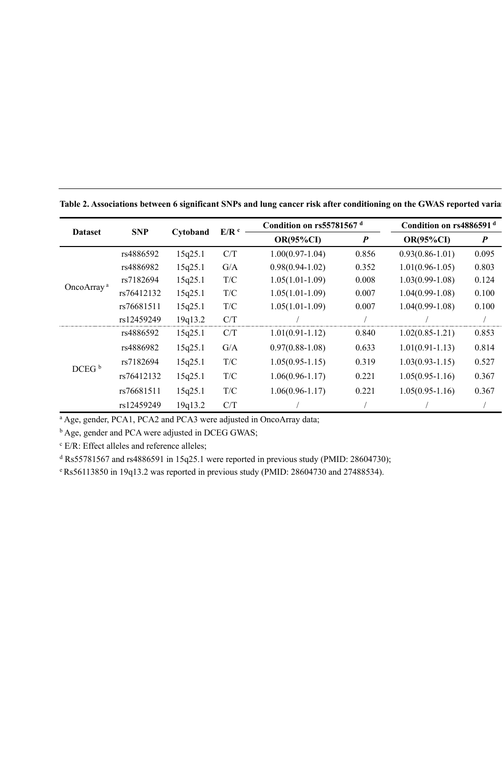| <b>Dataset</b>         | <b>SNP</b> |          | E/R <sup>c</sup>        | Condition on rs55781567 <sup>d</sup> |                  | Condition on rs4886591 <sup>d</sup> |                  |
|------------------------|------------|----------|-------------------------|--------------------------------------|------------------|-------------------------------------|------------------|
|                        |            | Cytoband |                         | <b>OR(95%CI)</b>                     | $\boldsymbol{P}$ | <b>OR(95%CI)</b>                    | $\boldsymbol{P}$ |
|                        | rs4886592  | 15q25.1  | C/T                     | $1.00(0.97-1.04)$                    | 0.856            | $0.93(0.86 - 1.01)$                 | 0.095            |
|                        | rs4886982  | 15q25.1  | G/A                     | $0.98(0.94-1.02)$                    | 0.352            | $1.01(0.96 - 1.05)$                 | 0.803            |
|                        | rs7182694  | 15q25.1  | T/C                     | $1.05(1.01-1.09)$                    | 0.008            | $1.03(0.99-1.08)$                   | 0.124            |
| OncoArray <sup>a</sup> | rs76412132 | 15q25.1  | T/C                     | $1.05(1.01-1.09)$                    | 0.007            | $1.04(0.99-1.08)$                   | 0.100            |
|                        | rs76681511 | 15q25.1  | T/C                     | $1.05(1.01-1.09)$                    | 0.007            | $1.04(0.99-1.08)$                   | 0.100            |
|                        | rs12459249 | 19q13.2  | C/T                     |                                      |                  |                                     |                  |
|                        | rs4886592  | 15q25.1  | C/T                     | $1.01(0.91-1.12)$                    | 0.840            | $1.02(0.85-1.21)$                   | 0.853            |
|                        | rs4886982  | 15q25.1  | G/A                     | $0.97(0.88-1.08)$                    | 0.633            | $1.01(0.91-1.13)$                   | 0.814            |
|                        | rs7182694  | 15q25.1  | $\mathrm{T}/\mathrm{C}$ | $1.05(0.95-1.15)$                    | 0.319            | $1.03(0.93 - 1.15)$                 | 0.527            |
| DCEG <sup>b</sup>      | rs76412132 | 15q25.1  | T/C                     | $1.06(0.96 - 1.17)$                  | 0.221            | $1.05(0.95-1.16)$                   | 0.367            |
|                        | rs76681511 | 15q25.1  | T/C                     | $1.06(0.96 - 1.17)$                  | 0.221            | $1.05(0.95-1.16)$                   | 0.367            |
|                        | rs12459249 | 19q13.2  | C/T                     |                                      |                  |                                     |                  |

Table 2. Associations between 6 significant SNPs and lung cancer risk after conditioning on the GWAS reported varia

<sup>a</sup> Age, gender, PCA1, PCA2 and PCA3 were adjusted in OncoArray data;

**b** Age, gender and PCA were adjusted in DCEG GWAS;

<sup>c</sup> E/R: Effect alleles and reference alleles;

<sup>d</sup> Rs55781567 and rs4886591 in 15q25.1 were reported in previous study (PMID: 28604730);

<sup>e</sup> Rs56113850 in 19q13.2 was reported in previous study (PMID: 28604730 and 27488534).